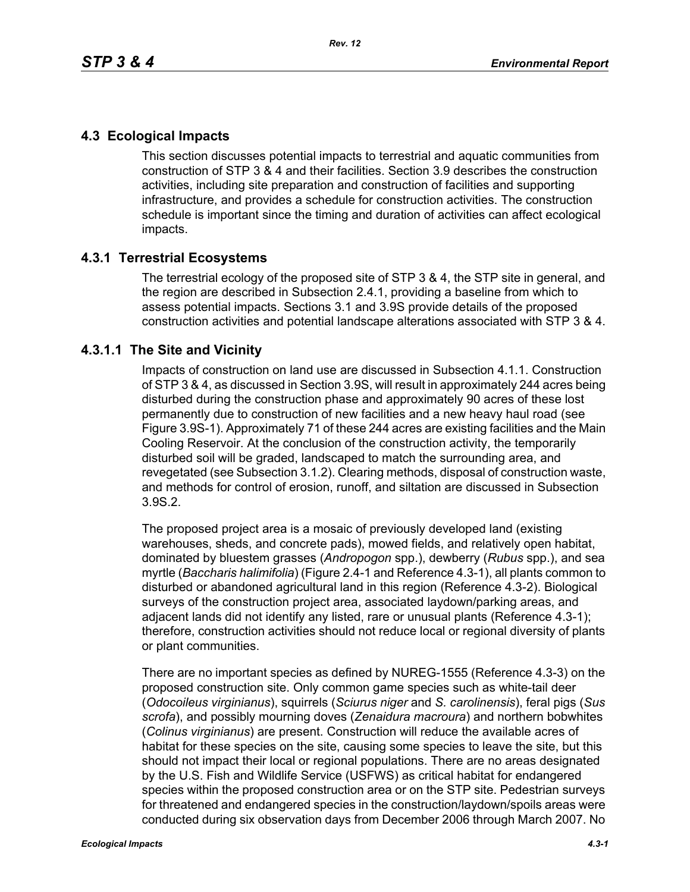# **4.3 Ecological Impacts**

This section discusses potential impacts to terrestrial and aquatic communities from construction of STP 3 & 4 and their facilities. Section 3.9 describes the construction activities, including site preparation and construction of facilities and supporting infrastructure, and provides a schedule for construction activities. The construction schedule is important since the timing and duration of activities can affect ecological impacts.

# **4.3.1 Terrestrial Ecosystems**

The terrestrial ecology of the proposed site of STP 3 & 4, the STP site in general, and the region are described in Subsection 2.4.1, providing a baseline from which to assess potential impacts. Sections 3.1 and 3.9S provide details of the proposed construction activities and potential landscape alterations associated with STP 3 & 4.

# **4.3.1.1 The Site and Vicinity**

Impacts of construction on land use are discussed in Subsection 4.1.1. Construction of STP 3 & 4, as discussed in Section 3.9S, will result in approximately 244 acres being disturbed during the construction phase and approximately 90 acres of these lost permanently due to construction of new facilities and a new heavy haul road (see Figure 3.9S-1). Approximately 71 of these 244 acres are existing facilities and the Main Cooling Reservoir. At the conclusion of the construction activity, the temporarily disturbed soil will be graded, landscaped to match the surrounding area, and revegetated (see Subsection 3.1.2). Clearing methods, disposal of construction waste, and methods for control of erosion, runoff, and siltation are discussed in Subsection 3.9S.2.

The proposed project area is a mosaic of previously developed land (existing warehouses, sheds, and concrete pads), mowed fields, and relatively open habitat, dominated by bluestem grasses (*Andropogon* spp.), dewberry (*Rubus* spp.), and sea myrtle (*Baccharis halimifolia*) (Figure 2.4-1 and Reference 4.3-1), all plants common to disturbed or abandoned agricultural land in this region (Reference 4.3-2). Biological surveys of the construction project area, associated laydown/parking areas, and adjacent lands did not identify any listed, rare or unusual plants (Reference 4.3-1); therefore, construction activities should not reduce local or regional diversity of plants or plant communities.

There are no important species as defined by NUREG-1555 (Reference 4.3-3) on the proposed construction site. Only common game species such as white-tail deer (*Odocoileus virginianus*), squirrels (*Sciurus niger* and *S. carolinensis*), feral pigs (*Sus scrofa*), and possibly mourning doves (*Zenaidura macroura*) and northern bobwhites (*Colinus virginianus*) are present. Construction will reduce the available acres of habitat for these species on the site, causing some species to leave the site, but this should not impact their local or regional populations. There are no areas designated by the U.S. Fish and Wildlife Service (USFWS) as critical habitat for endangered species within the proposed construction area or on the STP site. Pedestrian surveys for threatened and endangered species in the construction/laydown/spoils areas were conducted during six observation days from December 2006 through March 2007. No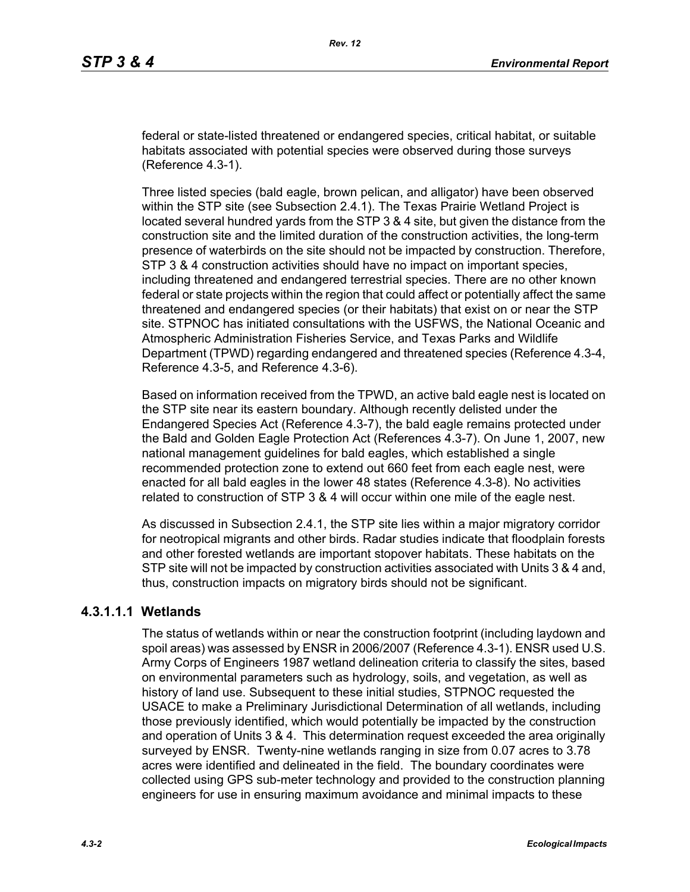federal or state-listed threatened or endangered species, critical habitat, or suitable habitats associated with potential species were observed during those surveys (Reference 4.3-1).

Three listed species (bald eagle, brown pelican, and alligator) have been observed within the STP site (see Subsection 2.4.1). The Texas Prairie Wetland Project is located several hundred yards from the STP 3 & 4 site, but given the distance from the construction site and the limited duration of the construction activities, the long-term presence of waterbirds on the site should not be impacted by construction. Therefore, STP 3 & 4 construction activities should have no impact on important species, including threatened and endangered terrestrial species. There are no other known federal or state projects within the region that could affect or potentially affect the same threatened and endangered species (or their habitats) that exist on or near the STP site. STPNOC has initiated consultations with the USFWS, the National Oceanic and Atmospheric Administration Fisheries Service, and Texas Parks and Wildlife Department (TPWD) regarding endangered and threatened species (Reference 4.3-4, Reference 4.3-5, and Reference 4.3-6).

Based on information received from the TPWD, an active bald eagle nest is located on the STP site near its eastern boundary. Although recently delisted under the Endangered Species Act (Reference 4.3-7), the bald eagle remains protected under the Bald and Golden Eagle Protection Act (References 4.3-7). On June 1, 2007, new national management guidelines for bald eagles, which established a single recommended protection zone to extend out 660 feet from each eagle nest, were enacted for all bald eagles in the lower 48 states (Reference 4.3-8). No activities related to construction of STP 3 & 4 will occur within one mile of the eagle nest.

As discussed in Subsection 2.4.1, the STP site lies within a major migratory corridor for neotropical migrants and other birds. Radar studies indicate that floodplain forests and other forested wetlands are important stopover habitats. These habitats on the STP site will not be impacted by construction activities associated with Units 3 & 4 and, thus, construction impacts on migratory birds should not be significant.

# **4.3.1.1.1 Wetlands**

The status of wetlands within or near the construction footprint (including laydown and spoil areas) was assessed by ENSR in 2006/2007 (Reference 4.3-1). ENSR used U.S. Army Corps of Engineers 1987 wetland delineation criteria to classify the sites, based on environmental parameters such as hydrology, soils, and vegetation, as well as history of land use. Subsequent to these initial studies, STPNOC requested the USACE to make a Preliminary Jurisdictional Determination of all wetlands, including those previously identified, which would potentially be impacted by the construction and operation of Units 3 & 4. This determination request exceeded the area originally surveyed by ENSR. Twenty-nine wetlands ranging in size from 0.07 acres to 3.78 acres were identified and delineated in the field. The boundary coordinates were collected using GPS sub-meter technology and provided to the construction planning engineers for use in ensuring maximum avoidance and minimal impacts to these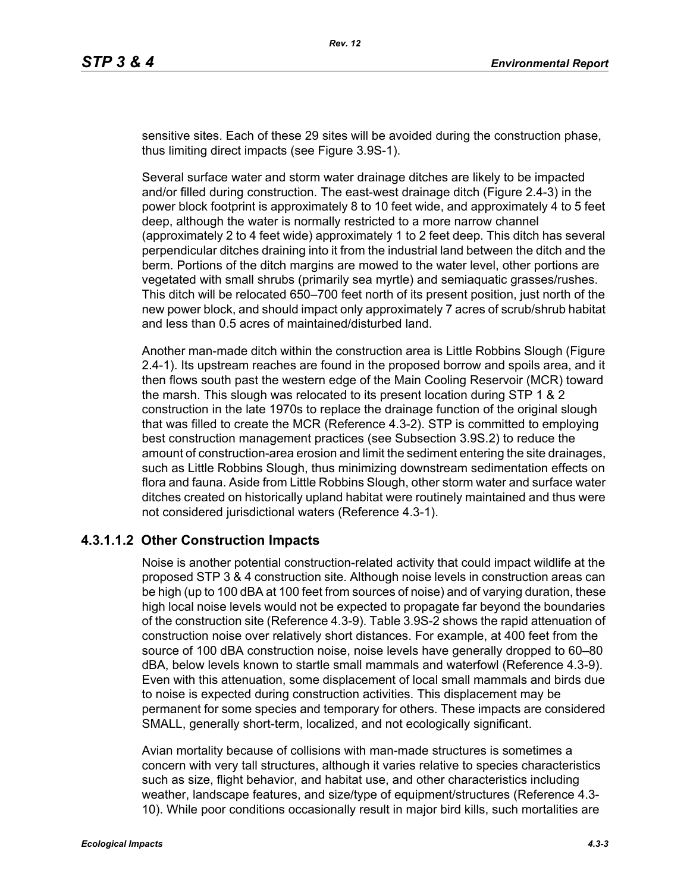sensitive sites. Each of these 29 sites will be avoided during the construction phase, thus limiting direct impacts (see Figure 3.9S-1).

Several surface water and storm water drainage ditches are likely to be impacted and/or filled during construction. The east-west drainage ditch (Figure 2.4-3) in the power block footprint is approximately 8 to 10 feet wide, and approximately 4 to 5 feet deep, although the water is normally restricted to a more narrow channel (approximately 2 to 4 feet wide) approximately 1 to 2 feet deep. This ditch has several perpendicular ditches draining into it from the industrial land between the ditch and the berm. Portions of the ditch margins are mowed to the water level, other portions are vegetated with small shrubs (primarily sea myrtle) and semiaquatic grasses/rushes. This ditch will be relocated 650–700 feet north of its present position, just north of the new power block, and should impact only approximately 7 acres of scrub/shrub habitat and less than 0.5 acres of maintained/disturbed land.

Another man-made ditch within the construction area is Little Robbins Slough (Figure 2.4-1). Its upstream reaches are found in the proposed borrow and spoils area, and it then flows south past the western edge of the Main Cooling Reservoir (MCR) toward the marsh. This slough was relocated to its present location during STP 1 & 2 construction in the late 1970s to replace the drainage function of the original slough that was filled to create the MCR (Reference 4.3-2). STP is committed to employing best construction management practices (see Subsection 3.9S.2) to reduce the amount of construction-area erosion and limit the sediment entering the site drainages, such as Little Robbins Slough, thus minimizing downstream sedimentation effects on flora and fauna. Aside from Little Robbins Slough, other storm water and surface water ditches created on historically upland habitat were routinely maintained and thus were not considered jurisdictional waters (Reference 4.3-1).

#### **4.3.1.1.2 Other Construction Impacts**

Noise is another potential construction-related activity that could impact wildlife at the proposed STP 3 & 4 construction site. Although noise levels in construction areas can be high (up to 100 dBA at 100 feet from sources of noise) and of varying duration, these high local noise levels would not be expected to propagate far beyond the boundaries of the construction site (Reference 4.3-9). Table 3.9S-2 shows the rapid attenuation of construction noise over relatively short distances. For example, at 400 feet from the source of 100 dBA construction noise, noise levels have generally dropped to 60–80 dBA, below levels known to startle small mammals and waterfowl (Reference 4.3-9). Even with this attenuation, some displacement of local small mammals and birds due to noise is expected during construction activities. This displacement may be permanent for some species and temporary for others. These impacts are considered SMALL, generally short-term, localized, and not ecologically significant.

Avian mortality because of collisions with man-made structures is sometimes a concern with very tall structures, although it varies relative to species characteristics such as size, flight behavior, and habitat use, and other characteristics including weather, landscape features, and size/type of equipment/structures (Reference 4.3- 10). While poor conditions occasionally result in major bird kills, such mortalities are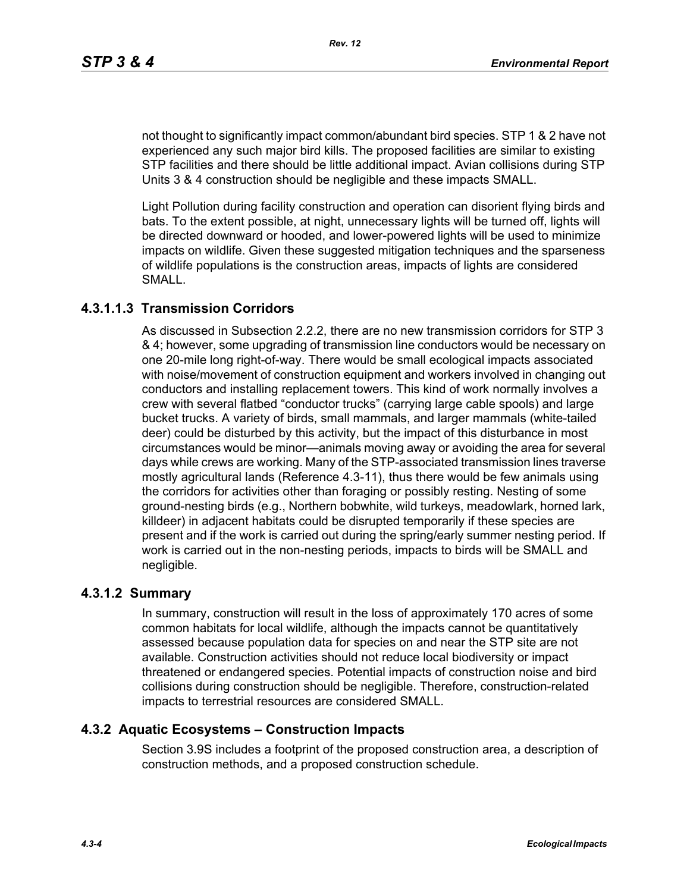not thought to significantly impact common/abundant bird species. STP 1 & 2 have not experienced any such major bird kills. The proposed facilities are similar to existing STP facilities and there should be little additional impact. Avian collisions during STP Units 3 & 4 construction should be negligible and these impacts SMALL.

Light Pollution during facility construction and operation can disorient flying birds and bats. To the extent possible, at night, unnecessary lights will be turned off, lights will be directed downward or hooded, and lower-powered lights will be used to minimize impacts on wildlife. Given these suggested mitigation techniques and the sparseness of wildlife populations is the construction areas, impacts of lights are considered SMALL.

### **4.3.1.1.3 Transmission Corridors**

As discussed in Subsection 2.2.2, there are no new transmission corridors for STP 3 & 4; however, some upgrading of transmission line conductors would be necessary on one 20-mile long right-of-way. There would be small ecological impacts associated with noise/movement of construction equipment and workers involved in changing out conductors and installing replacement towers. This kind of work normally involves a crew with several flatbed "conductor trucks" (carrying large cable spools) and large bucket trucks. A variety of birds, small mammals, and larger mammals (white-tailed deer) could be disturbed by this activity, but the impact of this disturbance in most circumstances would be minor—animals moving away or avoiding the area for several days while crews are working. Many of the STP-associated transmission lines traverse mostly agricultural lands (Reference 4.3-11), thus there would be few animals using the corridors for activities other than foraging or possibly resting. Nesting of some ground-nesting birds (e.g., Northern bobwhite, wild turkeys, meadowlark, horned lark, killdeer) in adjacent habitats could be disrupted temporarily if these species are present and if the work is carried out during the spring/early summer nesting period. If work is carried out in the non-nesting periods, impacts to birds will be SMALL and negligible.

#### **4.3.1.2 Summary**

In summary, construction will result in the loss of approximately 170 acres of some common habitats for local wildlife, although the impacts cannot be quantitatively assessed because population data for species on and near the STP site are not available. Construction activities should not reduce local biodiversity or impact threatened or endangered species. Potential impacts of construction noise and bird collisions during construction should be negligible. Therefore, construction-related impacts to terrestrial resources are considered SMALL.

#### **4.3.2 Aquatic Ecosystems – Construction Impacts**

Section 3.9S includes a footprint of the proposed construction area, a description of construction methods, and a proposed construction schedule.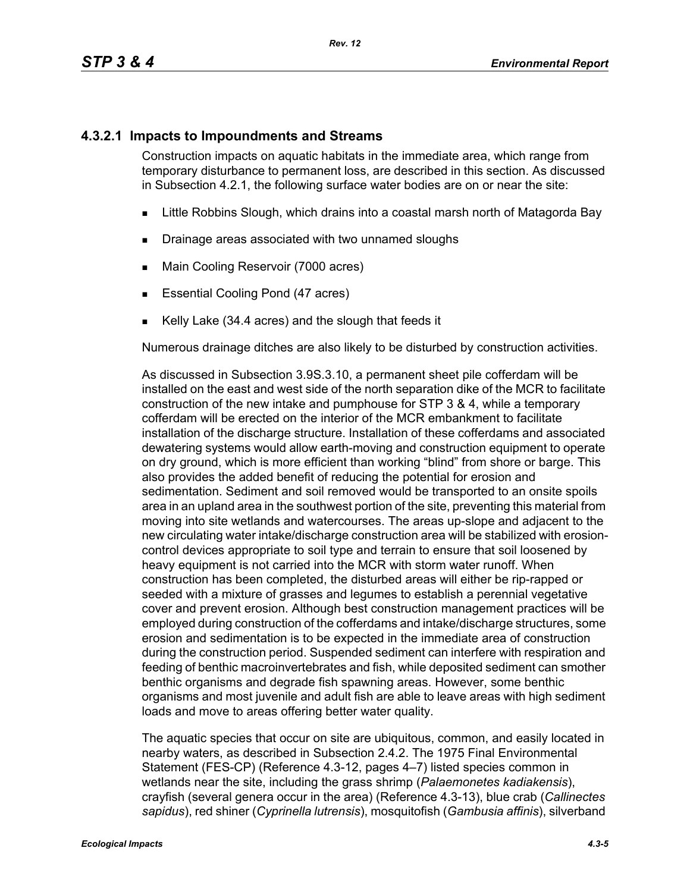## **4.3.2.1 Impacts to Impoundments and Streams**

Construction impacts on aquatic habitats in the immediate area, which range from temporary disturbance to permanent loss, are described in this section. As discussed in Subsection 4.2.1, the following surface water bodies are on or near the site:

- **EXALLET A** Little Robbins Slough, which drains into a coastal marsh north of Matagorda Bay
- **Drainage areas associated with two unnamed sloughs**
- **Main Cooling Reservoir (7000 acres)**
- **Essential Cooling Pond (47 acres)**
- Kelly Lake (34.4 acres) and the slough that feeds it

Numerous drainage ditches are also likely to be disturbed by construction activities.

As discussed in Subsection 3.9S.3.10, a permanent sheet pile cofferdam will be installed on the east and west side of the north separation dike of the MCR to facilitate construction of the new intake and pumphouse for STP 3 & 4, while a temporary cofferdam will be erected on the interior of the MCR embankment to facilitate installation of the discharge structure. Installation of these cofferdams and associated dewatering systems would allow earth-moving and construction equipment to operate on dry ground, which is more efficient than working "blind" from shore or barge. This also provides the added benefit of reducing the potential for erosion and sedimentation. Sediment and soil removed would be transported to an onsite spoils area in an upland area in the southwest portion of the site, preventing this material from moving into site wetlands and watercourses. The areas up-slope and adjacent to the new circulating water intake/discharge construction area will be stabilized with erosioncontrol devices appropriate to soil type and terrain to ensure that soil loosened by heavy equipment is not carried into the MCR with storm water runoff. When construction has been completed, the disturbed areas will either be rip-rapped or seeded with a mixture of grasses and legumes to establish a perennial vegetative cover and prevent erosion. Although best construction management practices will be employed during construction of the cofferdams and intake/discharge structures, some erosion and sedimentation is to be expected in the immediate area of construction during the construction period. Suspended sediment can interfere with respiration and feeding of benthic macroinvertebrates and fish, while deposited sediment can smother benthic organisms and degrade fish spawning areas. However, some benthic organisms and most juvenile and adult fish are able to leave areas with high sediment loads and move to areas offering better water quality.

The aquatic species that occur on site are ubiquitous, common, and easily located in nearby waters, as described in Subsection 2.4.2. The 1975 Final Environmental Statement (FES-CP) (Reference 4.3-12, pages 4–7) listed species common in wetlands near the site, including the grass shrimp (*Palaemonetes kadiakensis*), crayfish (several genera occur in the area) (Reference 4.3-13), blue crab (*Callinectes sapidus*), red shiner (*Cyprinella lutrensis*), mosquitofish (*Gambusia affinis*), silverband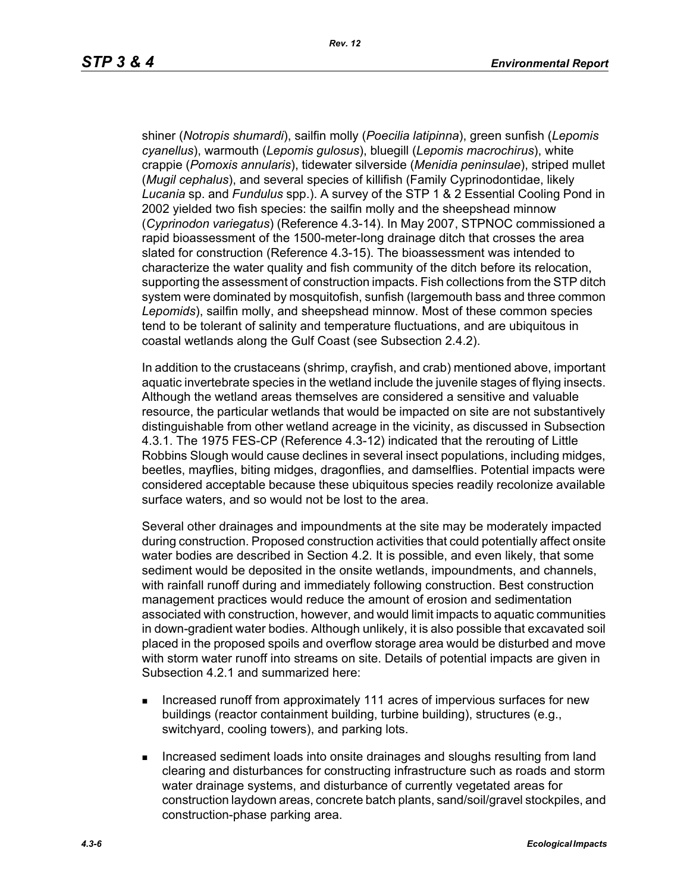shiner (*Notropis shumardi*), sailfin molly (*Poecilia latipinna*), green sunfish (*Lepomis cyanellus*), warmouth (*Lepomis gulosus*), bluegill (*Lepomis macrochirus*), white crappie (*Pomoxis annularis*), tidewater silverside (*Menidia peninsulae*), striped mullet (*Mugil cephalus*), and several species of killifish (Family Cyprinodontidae, likely *Lucania* sp. and *Fundulus* spp.). A survey of the STP 1 & 2 Essential Cooling Pond in 2002 yielded two fish species: the sailfin molly and the sheepshead minnow (*Cyprinodon variegatus*) (Reference 4.3-14). In May 2007, STPNOC commissioned a rapid bioassessment of the 1500-meter-long drainage ditch that crosses the area slated for construction (Reference 4.3-15). The bioassessment was intended to characterize the water quality and fish community of the ditch before its relocation, supporting the assessment of construction impacts. Fish collections from the STP ditch system were dominated by mosquitofish, sunfish (largemouth bass and three common *Lepomids*), sailfin molly, and sheepshead minnow. Most of these common species tend to be tolerant of salinity and temperature fluctuations, and are ubiquitous in coastal wetlands along the Gulf Coast (see Subsection 2.4.2).

In addition to the crustaceans (shrimp, crayfish, and crab) mentioned above, important aquatic invertebrate species in the wetland include the juvenile stages of flying insects. Although the wetland areas themselves are considered a sensitive and valuable resource, the particular wetlands that would be impacted on site are not substantively distinguishable from other wetland acreage in the vicinity, as discussed in Subsection 4.3.1. The 1975 FES-CP (Reference 4.3-12) indicated that the rerouting of Little Robbins Slough would cause declines in several insect populations, including midges, beetles, mayflies, biting midges, dragonflies, and damselflies. Potential impacts were considered acceptable because these ubiquitous species readily recolonize available surface waters, and so would not be lost to the area.

Several other drainages and impoundments at the site may be moderately impacted during construction. Proposed construction activities that could potentially affect onsite water bodies are described in Section 4.2. It is possible, and even likely, that some sediment would be deposited in the onsite wetlands, impoundments, and channels, with rainfall runoff during and immediately following construction. Best construction management practices would reduce the amount of erosion and sedimentation associated with construction, however, and would limit impacts to aquatic communities in down-gradient water bodies. Although unlikely, it is also possible that excavated soil placed in the proposed spoils and overflow storage area would be disturbed and move with storm water runoff into streams on site. Details of potential impacts are given in Subsection 4.2.1 and summarized here:

- **Increased runoff from approximately 111 acres of impervious surfaces for new** buildings (reactor containment building, turbine building), structures (e.g., switchyard, cooling towers), and parking lots.
- **Increased sediment loads into onsite drainages and sloughs resulting from land** clearing and disturbances for constructing infrastructure such as roads and storm water drainage systems, and disturbance of currently vegetated areas for construction laydown areas, concrete batch plants, sand/soil/gravel stockpiles, and construction-phase parking area.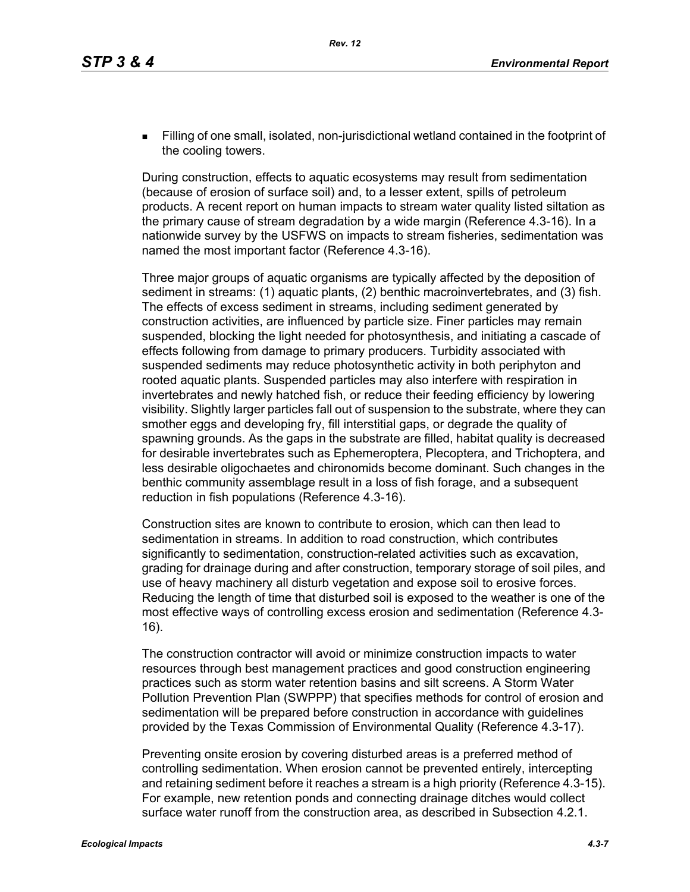Filling of one small, isolated, non-jurisdictional wetland contained in the footprint of the cooling towers.

During construction, effects to aquatic ecosystems may result from sedimentation (because of erosion of surface soil) and, to a lesser extent, spills of petroleum products. A recent report on human impacts to stream water quality listed siltation as the primary cause of stream degradation by a wide margin (Reference 4.3-16). In a nationwide survey by the USFWS on impacts to stream fisheries, sedimentation was named the most important factor (Reference 4.3-16).

Three major groups of aquatic organisms are typically affected by the deposition of sediment in streams: (1) aquatic plants, (2) benthic macroinvertebrates, and (3) fish. The effects of excess sediment in streams, including sediment generated by construction activities, are influenced by particle size. Finer particles may remain suspended, blocking the light needed for photosynthesis, and initiating a cascade of effects following from damage to primary producers. Turbidity associated with suspended sediments may reduce photosynthetic activity in both periphyton and rooted aquatic plants. Suspended particles may also interfere with respiration in invertebrates and newly hatched fish, or reduce their feeding efficiency by lowering visibility. Slightly larger particles fall out of suspension to the substrate, where they can smother eggs and developing fry, fill interstitial gaps, or degrade the quality of spawning grounds. As the gaps in the substrate are filled, habitat quality is decreased for desirable invertebrates such as Ephemeroptera, Plecoptera, and Trichoptera, and less desirable oligochaetes and chironomids become dominant. Such changes in the benthic community assemblage result in a loss of fish forage, and a subsequent reduction in fish populations (Reference 4.3-16).

Construction sites are known to contribute to erosion, which can then lead to sedimentation in streams. In addition to road construction, which contributes significantly to sedimentation, construction-related activities such as excavation, grading for drainage during and after construction, temporary storage of soil piles, and use of heavy machinery all disturb vegetation and expose soil to erosive forces. Reducing the length of time that disturbed soil is exposed to the weather is one of the most effective ways of controlling excess erosion and sedimentation (Reference 4.3- 16).

The construction contractor will avoid or minimize construction impacts to water resources through best management practices and good construction engineering practices such as storm water retention basins and silt screens. A Storm Water Pollution Prevention Plan (SWPPP) that specifies methods for control of erosion and sedimentation will be prepared before construction in accordance with guidelines provided by the Texas Commission of Environmental Quality (Reference 4.3-17).

Preventing onsite erosion by covering disturbed areas is a preferred method of controlling sedimentation. When erosion cannot be prevented entirely, intercepting and retaining sediment before it reaches a stream is a high priority (Reference 4.3-15). For example, new retention ponds and connecting drainage ditches would collect surface water runoff from the construction area, as described in Subsection 4.2.1.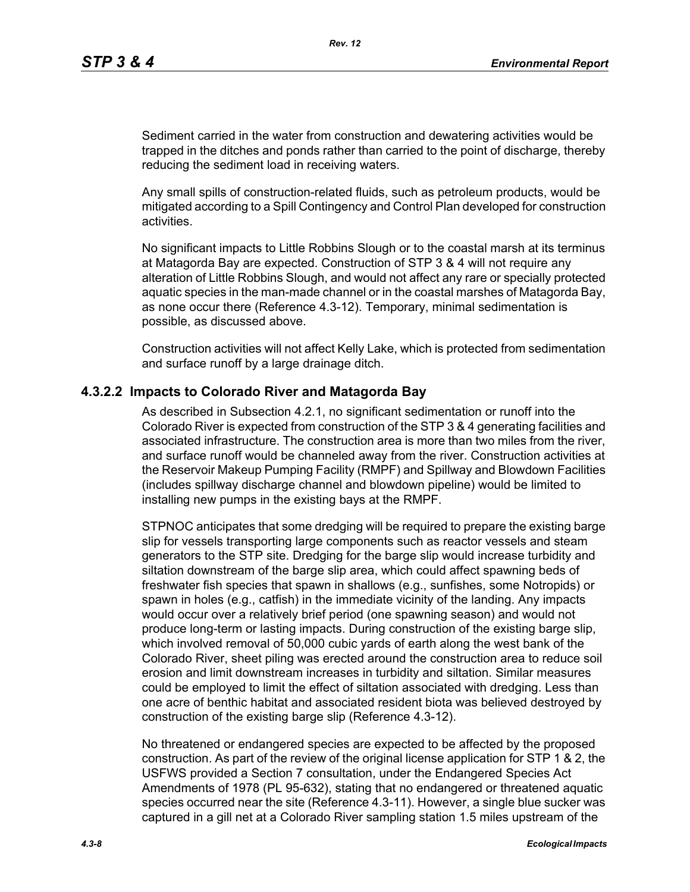Sediment carried in the water from construction and dewatering activities would be trapped in the ditches and ponds rather than carried to the point of discharge, thereby reducing the sediment load in receiving waters.

Any small spills of construction-related fluids, such as petroleum products, would be mitigated according to a Spill Contingency and Control Plan developed for construction activities.

No significant impacts to Little Robbins Slough or to the coastal marsh at its terminus at Matagorda Bay are expected. Construction of STP 3 & 4 will not require any alteration of Little Robbins Slough, and would not affect any rare or specially protected aquatic species in the man-made channel or in the coastal marshes of Matagorda Bay, as none occur there (Reference 4.3-12). Temporary, minimal sedimentation is possible, as discussed above.

Construction activities will not affect Kelly Lake, which is protected from sedimentation and surface runoff by a large drainage ditch.

#### **4.3.2.2 Impacts to Colorado River and Matagorda Bay**

As described in Subsection 4.2.1, no significant sedimentation or runoff into the Colorado River is expected from construction of the STP 3 & 4 generating facilities and associated infrastructure. The construction area is more than two miles from the river, and surface runoff would be channeled away from the river. Construction activities at the Reservoir Makeup Pumping Facility (RMPF) and Spillway and Blowdown Facilities (includes spillway discharge channel and blowdown pipeline) would be limited to installing new pumps in the existing bays at the RMPF.

STPNOC anticipates that some dredging will be required to prepare the existing barge slip for vessels transporting large components such as reactor vessels and steam generators to the STP site. Dredging for the barge slip would increase turbidity and siltation downstream of the barge slip area, which could affect spawning beds of freshwater fish species that spawn in shallows (e.g., sunfishes, some Notropids) or spawn in holes (e.g., catfish) in the immediate vicinity of the landing. Any impacts would occur over a relatively brief period (one spawning season) and would not produce long-term or lasting impacts. During construction of the existing barge slip, which involved removal of 50,000 cubic yards of earth along the west bank of the Colorado River, sheet piling was erected around the construction area to reduce soil erosion and limit downstream increases in turbidity and siltation. Similar measures could be employed to limit the effect of siltation associated with dredging. Less than one acre of benthic habitat and associated resident biota was believed destroyed by construction of the existing barge slip (Reference 4.3-12).

No threatened or endangered species are expected to be affected by the proposed construction. As part of the review of the original license application for STP 1 & 2, the USFWS provided a Section 7 consultation, under the Endangered Species Act Amendments of 1978 (PL 95-632), stating that no endangered or threatened aquatic species occurred near the site (Reference 4.3-11). However, a single blue sucker was captured in a gill net at a Colorado River sampling station 1.5 miles upstream of the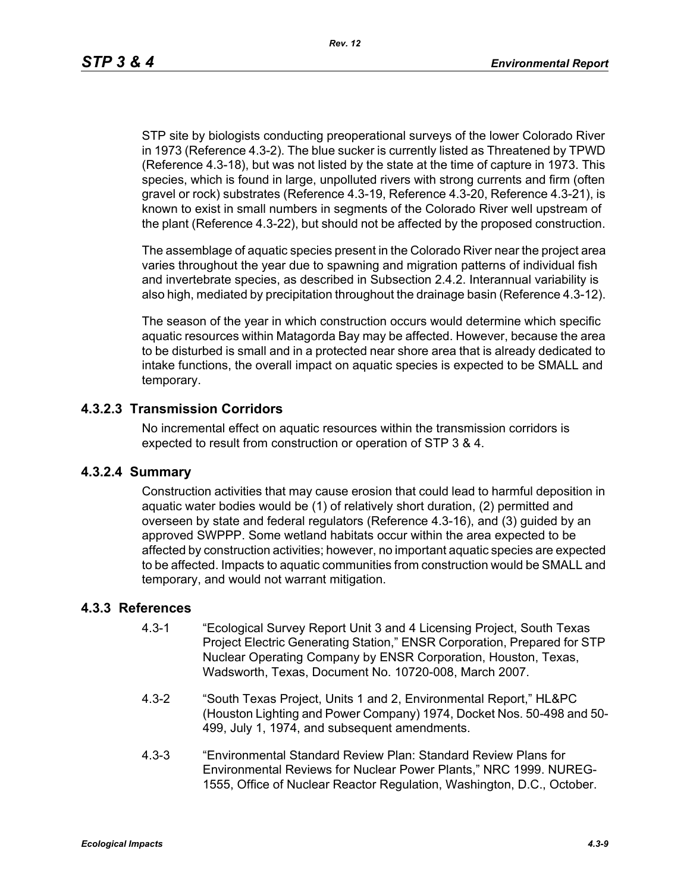STP site by biologists conducting preoperational surveys of the lower Colorado River in 1973 (Reference 4.3-2). The blue sucker is currently listed as Threatened by TPWD (Reference 4.3-18), but was not listed by the state at the time of capture in 1973. This species, which is found in large, unpolluted rivers with strong currents and firm (often gravel or rock) substrates (Reference 4.3-19, Reference 4.3-20, Reference 4.3-21), is known to exist in small numbers in segments of the Colorado River well upstream of the plant (Reference 4.3-22), but should not be affected by the proposed construction.

The assemblage of aquatic species present in the Colorado River near the project area varies throughout the year due to spawning and migration patterns of individual fish and invertebrate species, as described in Subsection 2.4.2. Interannual variability is also high, mediated by precipitation throughout the drainage basin (Reference 4.3-12).

The season of the year in which construction occurs would determine which specific aquatic resources within Matagorda Bay may be affected. However, because the area to be disturbed is small and in a protected near shore area that is already dedicated to intake functions, the overall impact on aquatic species is expected to be SMALL and temporary.

#### **4.3.2.3 Transmission Corridors**

No incremental effect on aquatic resources within the transmission corridors is expected to result from construction or operation of STP 3 & 4.

#### **4.3.2.4 Summary**

Construction activities that may cause erosion that could lead to harmful deposition in aquatic water bodies would be (1) of relatively short duration, (2) permitted and overseen by state and federal regulators (Reference 4.3-16), and (3) guided by an approved SWPPP. Some wetland habitats occur within the area expected to be affected by construction activities; however, no important aquatic species are expected to be affected. Impacts to aquatic communities from construction would be SMALL and temporary, and would not warrant mitigation.

# **4.3.3 References**

- 4.3-1 "Ecological Survey Report Unit 3 and 4 Licensing Project, South Texas Project Electric Generating Station," ENSR Corporation, Prepared for STP Nuclear Operating Company by ENSR Corporation, Houston, Texas, Wadsworth, Texas, Document No. 10720-008, March 2007.
- 4.3-2 "South Texas Project, Units 1 and 2, Environmental Report," HL&PC (Houston Lighting and Power Company) 1974, Docket Nos. 50-498 and 50- 499, July 1, 1974, and subsequent amendments.
- 4.3-3 "Environmental Standard Review Plan: Standard Review Plans for Environmental Reviews for Nuclear Power Plants," NRC 1999. NUREG-1555, Office of Nuclear Reactor Regulation, Washington, D.C., October.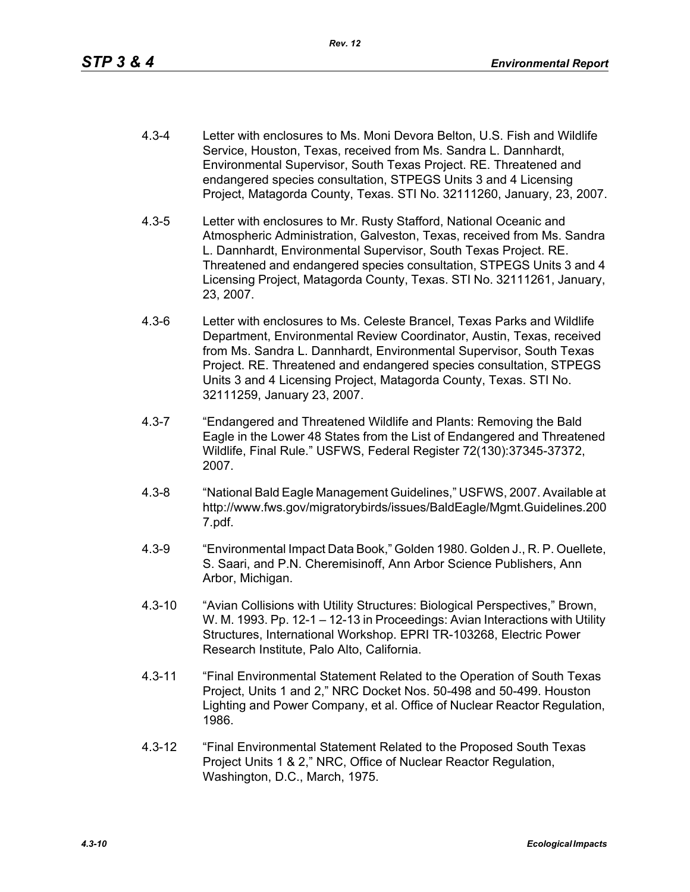- 4.3-4 Letter with enclosures to Ms. Moni Devora Belton, U.S. Fish and Wildlife Service, Houston, Texas, received from Ms. Sandra L. Dannhardt, Environmental Supervisor, South Texas Project. RE. Threatened and endangered species consultation, STPEGS Units 3 and 4 Licensing Project, Matagorda County, Texas. STI No. 32111260, January, 23, 2007.
- 4.3-5 Letter with enclosures to Mr. Rusty Stafford, National Oceanic and Atmospheric Administration, Galveston, Texas, received from Ms. Sandra L. Dannhardt, Environmental Supervisor, South Texas Project. RE. Threatened and endangered species consultation, STPEGS Units 3 and 4 Licensing Project, Matagorda County, Texas. STI No. 32111261, January, 23, 2007.
- 4.3-6 Letter with enclosures to Ms. Celeste Brancel, Texas Parks and Wildlife Department, Environmental Review Coordinator, Austin, Texas, received from Ms. Sandra L. Dannhardt, Environmental Supervisor, South Texas Project. RE. Threatened and endangered species consultation, STPEGS Units 3 and 4 Licensing Project, Matagorda County, Texas. STI No. 32111259, January 23, 2007.
- 4.3-7 "Endangered and Threatened Wildlife and Plants: Removing the Bald Eagle in the Lower 48 States from the List of Endangered and Threatened Wildlife, Final Rule." USFWS, Federal Register 72(130):37345-37372, 2007.
- 4.3-8 "National Bald Eagle Management Guidelines," USFWS, 2007. Available at http://www.fws.gov/migratorybirds/issues/BaldEagle/Mgmt.Guidelines.200 7.pdf.
- 4.3-9 "Environmental Impact Data Book," Golden 1980. Golden J., R. P. Ouellete, S. Saari, and P.N. Cheremisinoff, Ann Arbor Science Publishers, Ann Arbor, Michigan.
- 4.3-10 "Avian Collisions with Utility Structures: Biological Perspectives," Brown, W. M. 1993. Pp. 12-1 – 12-13 in Proceedings: Avian Interactions with Utility Structures, International Workshop. EPRI TR-103268, Electric Power Research Institute, Palo Alto, California.
- 4.3-11 "Final Environmental Statement Related to the Operation of South Texas Project, Units 1 and 2," NRC Docket Nos. 50-498 and 50-499. Houston Lighting and Power Company, et al. Office of Nuclear Reactor Regulation, 1986.
- 4.3-12 "Final Environmental Statement Related to the Proposed South Texas Project Units 1 & 2," NRC, Office of Nuclear Reactor Regulation, Washington, D.C., March, 1975.